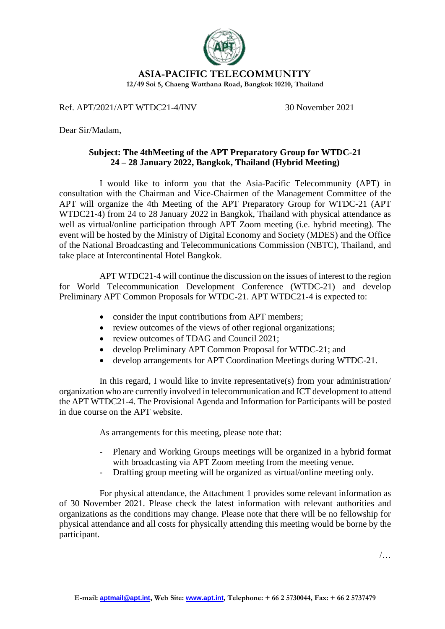

**ASIA-PACIFIC TELECOMMUNITY**

**12/49 Soi 5, Chaeng Watthana Road, Bangkok 10210, Thailand**

Ref. APT/2021/APT WTDC21-4/INV 30 November 2021

Dear Sir/Madam,

## **Subject: The 4thMeeting of the APT Preparatory Group for WTDC-21 24 – 28 January 2022, Bangkok, Thailand (Hybrid Meeting)**

I would like to inform you that the Asia-Pacific Telecommunity (APT) in consultation with the Chairman and Vice-Chairmen of the Management Committee of the APT will organize the 4th Meeting of the APT Preparatory Group for WTDC-21 (APT WTDC21-4) from 24 to 28 January 2022 in Bangkok, Thailand with physical attendance as well as virtual/online participation through APT Zoom meeting (i.e. hybrid meeting). The event will be hosted by the Ministry of Digital Economy and Society (MDES) and the Office of the National Broadcasting and Telecommunications Commission (NBTC), Thailand, and take place at Intercontinental Hotel Bangkok.

APT WTDC21-4 will continue the discussion on the issues of interest to the region for World Telecommunication Development Conference (WTDC-21) and develop Preliminary APT Common Proposals for WTDC-21. APT WTDC21-4 is expected to:

- consider the input contributions from APT members;
- review outcomes of the views of other regional organizations;
- review outcomes of TDAG and Council 2021;
- develop Preliminary APT Common Proposal for WTDC-21; and
- develop arrangements for APT Coordination Meetings during WTDC-21.

In this regard, I would like to invite representative(s) from your administration/ organization who are currently involved in telecommunication and ICT development to attend the APT WTDC21-4. The Provisional Agenda and Information for Participants will be posted in due course on the APT website.

As arrangements for this meeting, please note that:

- Plenary and Working Groups meetings will be organized in a hybrid format with broadcasting via APT Zoom meeting from the meeting venue.
- Drafting group meeting will be organized as virtual/online meeting only.

For physical attendance, the Attachment 1 provides some relevant information as of 30 November 2021. Please check the latest information with relevant authorities and organizations as the conditions may change. Please note that there will be no fellowship for physical attendance and all costs for physically attending this meeting would be borne by the participant.

/…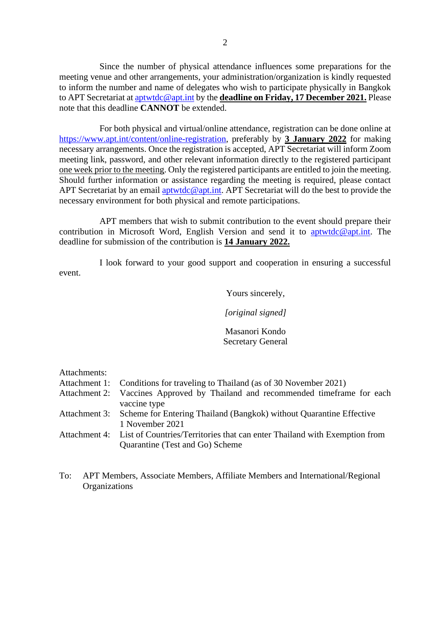Since the number of physical attendance influences some preparations for the meeting venue and other arrangements, your administration/organization is kindly requested to inform the number and name of delegates who wish to participate physically in Bangkok to APT Secretariat a[t aptwtdc@apt.int](mailto:aptwtdc@apt.int) by the **deadline on Friday, 17 December 2021.** Please note that this deadline **CANNOT** be extended.

For both physical and virtual/online attendance, registration can be done online at [https://www.apt.int/content/online-registration,](https://www.apt.int/content/online-registration) preferably by **3 January 2022** for making necessary arrangements. Once the registration is accepted, APT Secretariat will inform Zoom meeting link, password, and other relevant information directly to the registered participant one week prior to the meeting. Only the registered participants are entitled to join the meeting. Should further information or assistance regarding the meeting is required, please contact APT Secretariat by an email [aptwtdc@apt.int.](mailto:aptwtdc@apt.int) APT Secretariat will do the best to provide the necessary environment for both physical and remote participations.

APT members that wish to submit contribution to the event should prepare their contribution in Microsoft Word, English Version and send it to [aptwtdc@apt.int.](mailto:aptwtdc@apt.int) The deadline for submission of the contribution is **14 January 2022.**

I look forward to your good support and cooperation in ensuring a successful event.

Yours sincerely,

*[original signed]*

Masanori Kondo Secretary General

Attachments:

|  |  |  |  |  | Attachment 1: Conditions for traveling to Thailand (as of 30 November 2021) |
|--|--|--|--|--|-----------------------------------------------------------------------------|
|--|--|--|--|--|-----------------------------------------------------------------------------|

- Attachment 2: Vaccines Approved by Thailand and recommended timeframe for each vaccine type
- Attachment 3: Scheme for Entering Thailand (Bangkok) without Quarantine Effective 1 November 2021
- Attachment 4: List of Countries/Territories that can enter Thailand with Exemption from Quarantine (Test and Go) Scheme
- To: APT Members, Associate Members, Affiliate Members and International/Regional **Organizations**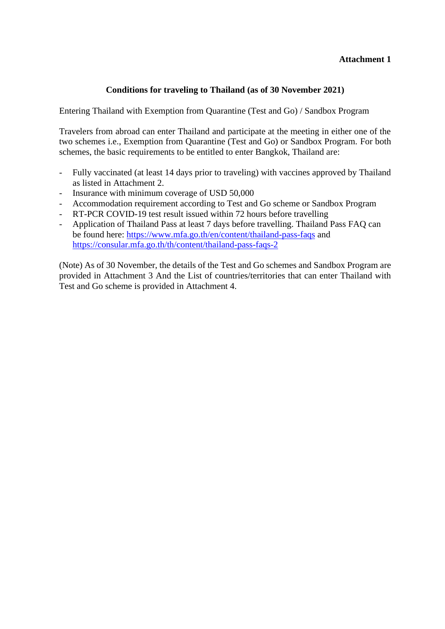## **Attachment 1**

## **Conditions for traveling to Thailand (as of 30 November 2021)**

Entering Thailand with Exemption from Quarantine (Test and Go) / Sandbox Program

Travelers from abroad can enter Thailand and participate at the meeting in either one of the two schemes i.e., Exemption from Quarantine (Test and Go) or Sandbox Program. For both schemes, the basic requirements to be entitled to enter Bangkok, Thailand are:

- Fully vaccinated (at least 14 days prior to traveling) with vaccines approved by Thailand as listed in Attachment 2.
- Insurance with minimum coverage of USD 50,000
- Accommodation requirement according to Test and Go scheme or Sandbox Program
- RT-PCR COVID-19 test result issued within 72 hours before travelling
- Application of Thailand Pass at least 7 days before travelling. Thailand Pass FAQ can be found here:<https://www.mfa.go.th/en/content/thailand-pass-faqs> and <https://consular.mfa.go.th/th/content/thailand-pass-faqs-2>

(Note) As of 30 November, the details of the Test and Go schemes and Sandbox Program are provided in Attachment 3 And the List of countries/territories that can enter Thailand with Test and Go scheme is provided in Attachment 4.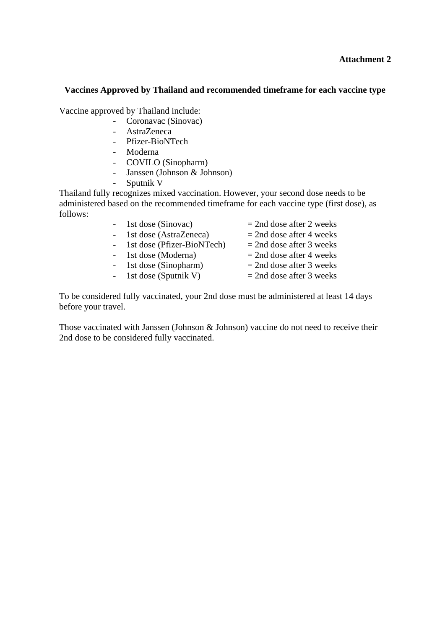### **Attachment 2**

#### **Vaccines Approved by Thailand and recommended timeframe for each vaccine type**

Vaccine approved by Thailand include:

- Coronavac (Sinovac)
- AstraZeneca
- Pfizer-BioNTech
- Moderna
- COVILO (Sinopharm)
- Janssen (Johnson & Johnson)
- Sputnik V

Thailand fully recognizes mixed vaccination. However, your second dose needs to be administered based on the recommended timeframe for each vaccine type (first dose), as follows:

| - 1st dose (Sinovac)         | $=$ 2nd dose after 2 weeks |
|------------------------------|----------------------------|
| - 1st dose (AstraZeneca)     | $=$ 2nd dose after 4 weeks |
| - 1st dose (Pfizer-BioNTech) | $=$ 2nd dose after 3 weeks |
| - 1st dose (Moderna)         | $=$ 2nd dose after 4 weeks |
| - 1st dose (Sinopharm)       | $=$ 2nd dose after 3 weeks |
| - 1st dose (Sputnik V)       | $=$ 2nd dose after 3 weeks |
|                              |                            |

To be considered fully vaccinated, your 2nd dose must be administered at least 14 days before your travel.

Those vaccinated with Janssen (Johnson & Johnson) vaccine do not need to receive their 2nd dose to be considered fully vaccinated.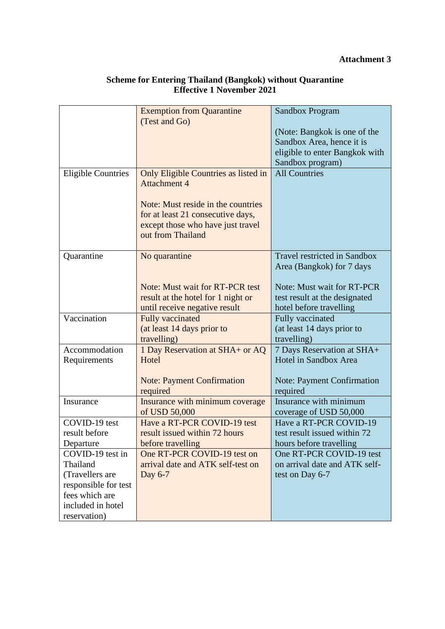|                               | <b>Exemption from Quarantine</b><br>(Test and Go)                | <b>Sandbox Program</b>                                    |
|-------------------------------|------------------------------------------------------------------|-----------------------------------------------------------|
|                               |                                                                  | (Note: Bangkok is one of the                              |
|                               |                                                                  | Sandbox Area, hence it is                                 |
|                               |                                                                  | eligible to enter Bangkok with<br>Sandbox program)        |
| <b>Eligible Countries</b>     | Only Eligible Countries as listed in                             | <b>All Countries</b>                                      |
|                               | <b>Attachment 4</b>                                              |                                                           |
|                               | Note: Must reside in the countries                               |                                                           |
|                               | for at least 21 consecutive days,                                |                                                           |
|                               | except those who have just travel                                |                                                           |
|                               | out from Thailand                                                |                                                           |
| Quarantine                    | No quarantine                                                    | <b>Travel restricted in Sandbox</b>                       |
|                               |                                                                  | Area (Bangkok) for 7 days                                 |
|                               |                                                                  |                                                           |
|                               | Note: Must wait for RT-PCR test                                  | <b>Note: Must wait for RT-PCR</b>                         |
|                               | result at the hotel for 1 night or                               | test result at the designated                             |
|                               | until receive negative result                                    | hotel before travelling                                   |
| Vaccination                   | <b>Fully vaccinated</b>                                          | Fully vaccinated                                          |
|                               | (at least 14 days prior to                                       | (at least 14 days prior to                                |
|                               | travelling)                                                      | travelling)                                               |
| Accommodation<br>Requirements | 1 Day Reservation at SHA+ or AQ<br>Hotel                         | 7 Days Reservation at SHA+<br>Hotel in Sandbox Area       |
|                               |                                                                  |                                                           |
|                               | <b>Note: Payment Confirmation</b><br>required                    | <b>Note: Payment Confirmation</b><br>required             |
| Insurance                     | Insurance with minimum coverage                                  | Insurance with minimum                                    |
|                               | of USD 50,000                                                    | coverage of USD 50,000                                    |
| COVID-19 test                 | Have a RT-PCR COVID-19 test                                      | Have a RT-PCR COVID-19                                    |
| result before                 | result issued within 72 hours                                    | test result issued within 72                              |
| Departure                     | before travelling                                                | hours before travelling                                   |
| COVID-19 test in<br>Thailand  | One RT-PCR COVID-19 test on<br>arrival date and ATK self-test on | One RT-PCR COVID-19 test<br>on arrival date and ATK self- |
| (Travellers are               | Day 6-7                                                          | test on Day 6-7                                           |
| responsible for test          |                                                                  |                                                           |
| fees which are                |                                                                  |                                                           |
| included in hotel             |                                                                  |                                                           |
| reservation)                  |                                                                  |                                                           |

## **Scheme for Entering Thailand (Bangkok) without Quarantine Effective 1 November 2021**